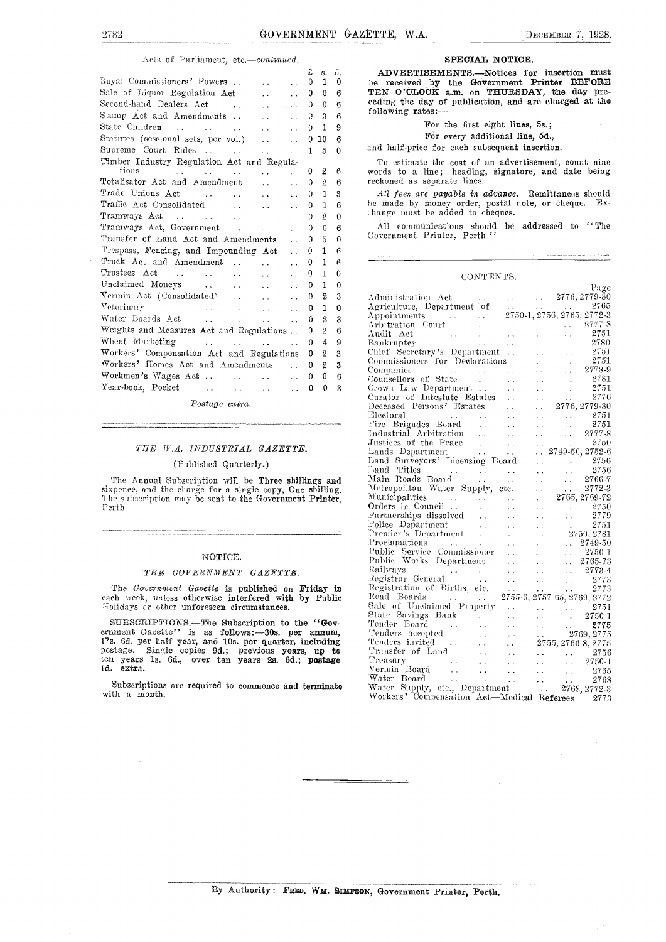#### Acts of Parliament, etc.-continued.

|                                                                                                                                     |                               | £<br>S.                      | d.           |                          |
|-------------------------------------------------------------------------------------------------------------------------------------|-------------------------------|------------------------------|--------------|--------------------------|
| Royal Commissioners' Powers                                                                                                         |                               | $\mathbf{1}$<br>$\theta$     | 0            | be                       |
| Sale of Liquor Regulation Act                                                                                                       |                               | $\theta$<br>$\mathbf{0}$     | 6            | TE                       |
| Second-hand Dealers Act                                                                                                             |                               | 0<br>$\Omega$                | 6            | ce o                     |
| Stamp Act and Amendments                                                                                                            |                               | 3<br>0                       | 6            | fol                      |
|                                                                                                                                     | $\ddot{\phantom{a}}$          | 1<br>0                       | 9            |                          |
| Statutes (sessional sets, per vol.)                                                                                                 |                               | $^{0}$<br>10                 | 6            |                          |
|                                                                                                                                     |                               | 1<br>5                       | 0            | ano                      |
| Timber Industry Regulation Act and Regula-                                                                                          |                               |                              |              | $\overline{r}$           |
| tions<br>and the second contract of the second second                                                                               |                               | $\overline{2}$<br>0          | 6            | WO <sup></sup>           |
| Totalisator Act and Amendment                                                                                                       |                               | $\boldsymbol{2}$<br>0        | 6            | rec                      |
|                                                                                                                                     | $\ddot{\phantom{a}}$          | 1<br>$\theta$                | 3            | $\overline{\phantom{a}}$ |
| Traffic Act Consolidated                                                                                                            |                               | $\mathbf{1}$<br>0            | 6            | he                       |
|                                                                                                                                     |                               | $\overline{2}$<br>$\Omega$   | $\theta$     | cha                      |
| Tramways Act, Government                                                                                                            | $\sim$ $\sim$                 | $\theta$<br>0                | 6            | $\overline{1}$           |
| Transfer of Land Act and Amendments                                                                                                 | $\mathcal{L}^{\mathcal{L}}$ . | 5<br>$\theta$                | $\mathbf{0}$ | Gо                       |
| Trespass, Fencing, and Impounding Act                                                                                               |                               | $\mathbf{1}$<br>$\mathbf{0}$ | 6            |                          |
| Truck Act and Amendment                                                                                                             | $\ddot{\phantom{a}}$          | 1<br>0                       | ß            |                          |
| Trustees Act                                                                                                                        | $\ddot{\phantom{a}}$          | 1<br>0                       | 0            |                          |
| Unclaimed Moneys                                                                                                                    | $\sim$ $\sim$                 | 1<br>0                       | $\Omega$     |                          |
| Vermin Act (Consolidated)                                                                                                           |                               | $\overline{2}$<br>0          | 3            | Ađ                       |
| Veterinary                                                                                                                          |                               | 1<br>0                       | 0            | Ag                       |
|                                                                                                                                     |                               | 2<br>0                       | 3            | Aр                       |
| Weights and Measures Act and Regulations                                                                                            |                               | 2<br>0                       | 6            | Ar<br>Αu                 |
| Wheat Marketing<br>and the second control of the second second                                                                      |                               | 4<br>$\Omega$                | 9            | Ba                       |
| Workers' Compensation Act and Regulations                                                                                           |                               | $\overline{2}$<br>0          | 3            | Ch                       |
| Workers' Homes Act and Amendments                                                                                                   | $\mathbf{A}$                  | $\overline{2}$<br>0          | 3            | Co                       |
| Workmen's Wages Act                                                                                                                 |                               | 0<br>0                       | 6            | Co:<br>€o                |
| Year-book, Pocket                                                                                                                   | $\ddot{\phantom{0}}$          | 0<br>0                       | 3            | Сr                       |
| $\mathbf{r}$ and $\mathbf{r}$ and $\mathbf{r}$ and $\mathbf{r}$ and $\mathbf{r}$ and $\mathbf{r}$ and $\mathbf{r}$ and $\mathbf{r}$ |                               |                              |              | Сu                       |

Postage extra.

#### THE W.A. INDUSTRIAL GAZETTE.

#### (Published Quarterly.)

The Annual Subscription will be Three shillings and sixpence, and the charge for a single copy, One shilling. The subscription may be sent to the Government Printer, Perth.

#### NOTICE.

#### THE GOVERNMENT GAZETTE.

The Government Gazette is published on Friday in rach week, unless otherwise interfered with by Public Roalds.<br>Holidays or other unforeseen circumstances. Sale

SUESCRIPTIONS.—The Subscription to the "Gov-<br>ernment Gazette" is as follows:-30s. per annum, 17s. 6d. per half year, and 10s. per quarter, including postage. Single copies 9d.; previous years, up to ten years is. 6d., over ten years 23. 6d.; postage Id. extra.

Subscriptions are required to commence and terminate with a month.

#### SPECIAL NOTICE.

0 1 0 be received by the Government Printer BEFORE ADVERTISEMENTS.-Notices for insertion must TEN O'CLOCK a.m. on THURSDAY, the day pre- ceding the day of publication, and are charged at the ceding the day of publication, and are charged at the following rates:-

For the first eight lines, 5s.;

For every additional line, 5d.,

and half-price for each subsequent insertion.

To estimate the cost of an advertisement, count nine words to a line; heading, signature, and date being reckoned as separate lines.

All fees are payable in advance. Remittances should <sup>0</sup> <sup>1</sup> <sup>6</sup> he made by money order, postal note, or cheque. Ex-  $\begin{array}{cc} 0 & 2 & 0 \end{array}$  change must be added to cheques.

<sup>0</sup> <sup>0</sup> <sup>6</sup> All communications should be addressed to "The  $\overline{0}$   $\overline{5}$   $\overline{0}$   $\overline{0}$  Government Priuter, Perth "

#### CONTENTS.

|                                                                                                                                           |  | Page |
|-------------------------------------------------------------------------------------------------------------------------------------------|--|------|
| Administration Act<br>Agriculture, Department of   2776, 2779-80<br>Appointments   2750-1, 2756, 2765, 2772-3<br>Anditr Act<br>Anditr Act |  |      |
|                                                                                                                                           |  |      |
|                                                                                                                                           |  |      |
|                                                                                                                                           |  |      |
|                                                                                                                                           |  |      |
|                                                                                                                                           |  |      |
|                                                                                                                                           |  |      |
|                                                                                                                                           |  |      |
|                                                                                                                                           |  |      |
|                                                                                                                                           |  |      |
|                                                                                                                                           |  |      |
|                                                                                                                                           |  |      |
|                                                                                                                                           |  |      |
|                                                                                                                                           |  |      |
|                                                                                                                                           |  |      |
|                                                                                                                                           |  |      |
|                                                                                                                                           |  |      |
|                                                                                                                                           |  |      |
|                                                                                                                                           |  |      |
|                                                                                                                                           |  |      |
|                                                                                                                                           |  |      |
|                                                                                                                                           |  |      |
|                                                                                                                                           |  |      |
|                                                                                                                                           |  |      |
|                                                                                                                                           |  |      |
|                                                                                                                                           |  |      |
|                                                                                                                                           |  |      |
|                                                                                                                                           |  |      |
|                                                                                                                                           |  |      |
|                                                                                                                                           |  |      |
|                                                                                                                                           |  |      |
|                                                                                                                                           |  |      |
|                                                                                                                                           |  |      |
|                                                                                                                                           |  |      |
|                                                                                                                                           |  |      |
|                                                                                                                                           |  |      |
|                                                                                                                                           |  |      |
|                                                                                                                                           |  |      |
|                                                                                                                                           |  |      |
|                                                                                                                                           |  |      |
|                                                                                                                                           |  |      |
|                                                                                                                                           |  |      |
|                                                                                                                                           |  |      |
|                                                                                                                                           |  |      |
|                                                                                                                                           |  |      |
|                                                                                                                                           |  |      |
|                                                                                                                                           |  |      |
|                                                                                                                                           |  |      |